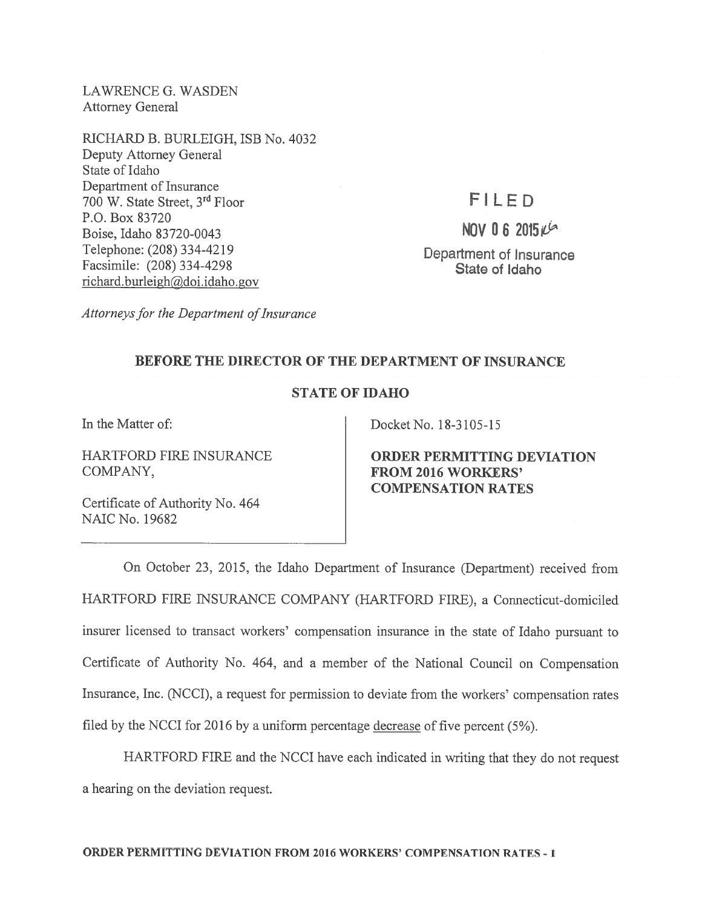LAWRENCE G. WASDEN Attorney General

RICHARD B. BURLEIGH, ISB No. 4032 Deputy Attorney General State of Idaho Department of Insurance 700 W. State Street, <sup>3</sup>rd Floor P.O. Box 83720 Boise, Idaho 83720-0043 Telephone: (208) 334-4219 Facsimile: (208) 334-4298 richard.burleigh@doi.idaho.gov

flLED

NOV 06 2015 $i$ Department of Insurance State of Idaho

Attorneys for the Department of Insurance

## BEFORE THE DIRECTOR OF THE DEPARTMENT OF INSURANCE

## STATE OF IDAHO

COMPANY, FROM 2016 WORKERS'

Certificate of Authority No. 464 NAIC No. 19682

In the Matter of: Docket No. 18-3105-15

HARTFORD FIRE INSURANCE ORDER PERMITTING DEVIATION COMPENSATION RATES

On October 23, 2015, the Idaho Department of Insurance (Department) received from HARTFORD FIRE INSURANCE COMPANY (HARTFORD FIRE), <sup>a</sup> Connecticut-domiciled insurer licensed to transact workers' compensation insurance in the state of Idaho pursuan<sup>t</sup> to Certificate of Authority No. 464, and <sup>a</sup> member of the National Council on Compensation Insurance, Inc. (NCCI), <sup>a</sup> reques<sup>t</sup> for permission to deviate from the workers' compensation rates filed by the NCCI for 2016 by <sup>a</sup> uniform percentage decrease of five percen<sup>t</sup> (5%).

HARTFORD FIRE and the NCCI have each indicated in writing that they do not reques<sup>t</sup> <sup>a</sup> hearing on the deviation request.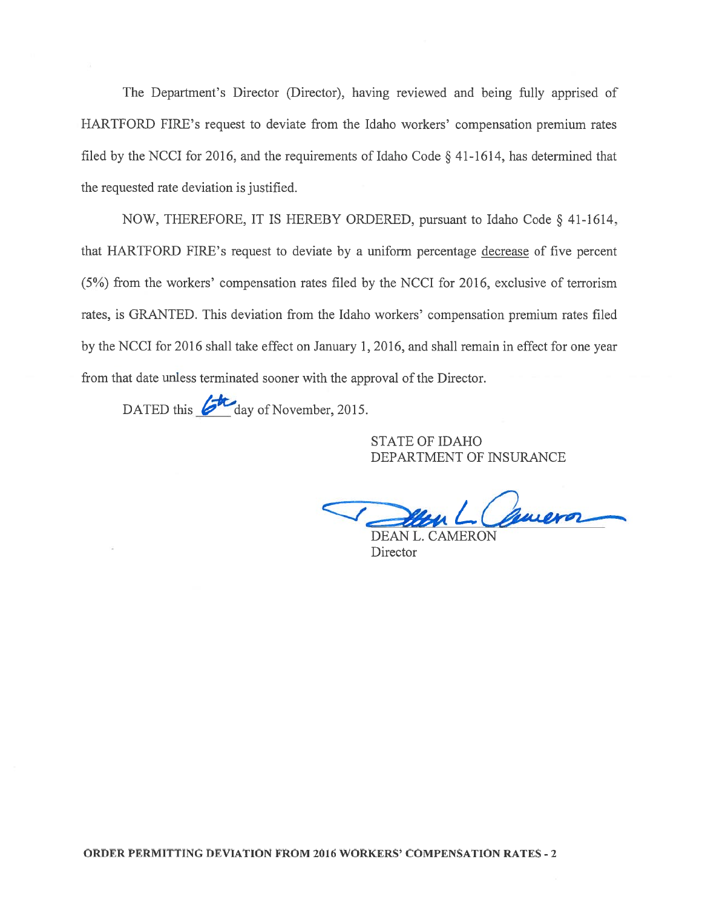The Department's Director (Director), having reviewed and being fully apprised of HARTFORD FIRE's reques<sup>t</sup> to deviate from the Idaho workers' compensation premium rates filed by the NCCI for 2016, and the requirements of Idaho Code § 41-1614, has determined that the requested rate deviation is justified.

NOW, THEREFORE, IT IS HEREBY ORDERED, pursuan<sup>t</sup> to Idaho Code § 41-1614, that HARTFORD FIRE's reques<sup>t</sup> to deviate by <sup>a</sup> uniform percentage decrease of five percen<sup>t</sup> (5%) from the workers' compensation rates filed by the NCCI for 2016, exclusive of terrorism rates, is GRANTED. This deviation from the Idaho workers' compensation premium rates filed by the NCCI for 2016 shall take effect on January 1, 2016, and shall remain in effect for one year from that date unless terminated sooner with the approval of the Director.

DATED this *d* day of November, 2015.

STATE OF IDAHO DEPARTMENT OF INSURANCE

quieror  $\angle$ 

DEAN L. CAMERON **Director**